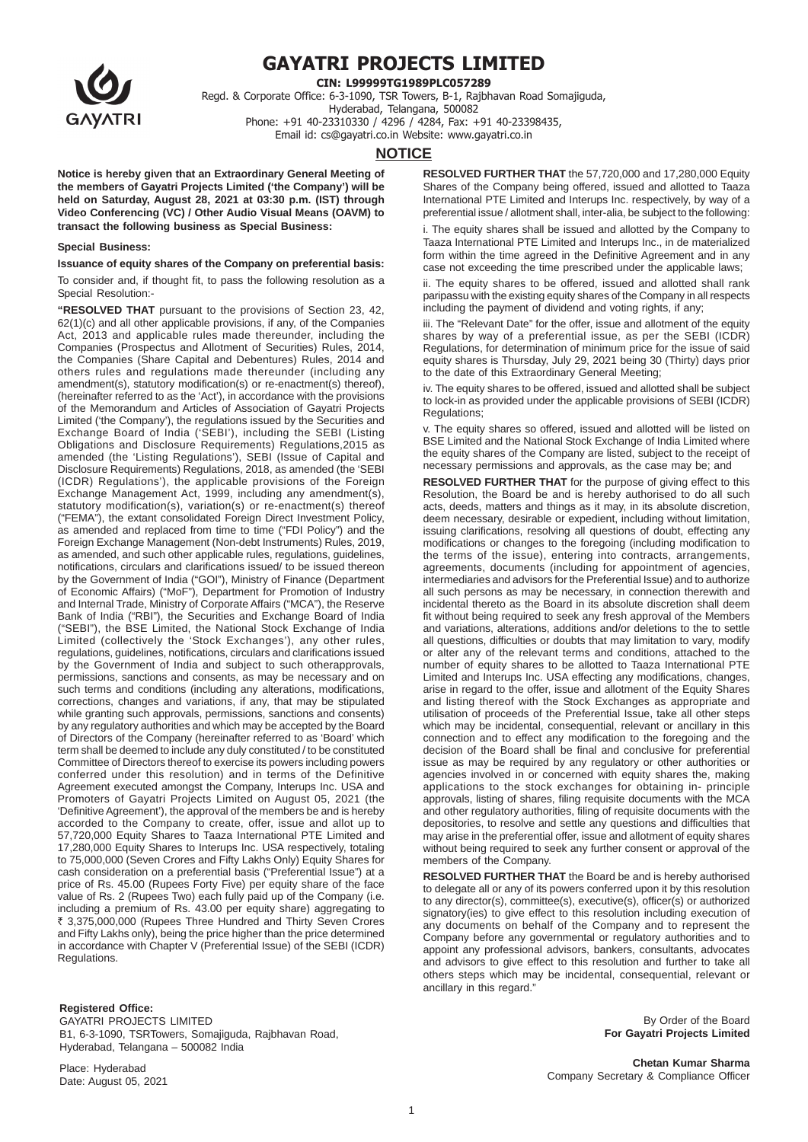

# GAYATRI PROJECTS LIMITED

CIN: L99999TG1989PLC057289

Regd. & Corporate Office: 6-3-1090, TSR Towers, B-1, Rajbhavan Road Somajiguda, Hyderabad, Telangana, 500082

Phone: +91 40-23310330 / 4296 / 4284, Fax: +91 40-23398435,

Email id: cs@gayatri.co.in Website: www.gayatri.co.in

## **NOTICE**

**Notice is hereby given that an Extraordinary General Meeting of the members of Gayatri Projects Limited ('the Company') will be held on Saturday, August 28, 2021 at 03:30 p.m. (IST) through Video Conferencing (VC) / Other Audio Visual Means (OAVM) to transact the following business as Special Business:**

#### **Special Business:**

## **Issuance of equity shares of the Company on preferential basis:**

To consider and, if thought fit, to pass the following resolution as a Special Resolution:

**"RESOLVED THAT** pursuant to the provisions of Section 23, 42, 62(1)(c) and all other applicable provisions, if any, of the Companies Act, 2013 and applicable rules made thereunder, including the Companies (Prospectus and Allotment of Securities) Rules, 2014, the Companies (Share Capital and Debentures) Rules, 2014 and others rules and regulations made thereunder (including any amendment(s), statutory modification(s) or re-enactment(s) thereof), (hereinafter referred to as the 'Act'), in accordance with the provisions of the Memorandum and Articles of Association of Gayatri Projects Limited ('the Company'), the regulations issued by the Securities and Exchange Board of India ('SEBI'), including the SEBI (Listing Obligations and Disclosure Requirements) Regulations,2015 as amended (the 'Listing Regulations'), SEBI (Issue of Capital and Disclosure Requirements) Regulations, 2018, as amended (the 'SEBI (ICDR) Regulations'), the applicable provisions of the Foreign Exchange Management Act, 1999, including any amendment(s), statutory modification(s), variation(s) or re-enactment(s) thereof ("FEMA"), the extant consolidated Foreign Direct Investment Policy, as amended and replaced from time to time ("FDI Policy") and the Foreign Exchange Management (Non-debt Instruments) Rules, 2019, as amended, and such other applicable rules, regulations, guidelines, notifications, circulars and clarifications issued/ to be issued thereon by the Government of India ("GOI"), Ministry of Finance (Department of Economic Affairs) ("MoF"), Department for Promotion of Industry and Internal Trade, Ministry of Corporate Affairs ("MCA"), the Reserve Bank of India ("RBI"), the Securities and Exchange Board of India ("SEBI"), the BSE Limited, the National Stock Exchange of India Limited (collectively the 'Stock Exchanges'), any other rules, regulations, guidelines, notifications, circulars and clarifications issued by the Government of India and subject to such otherapprovals, permissions, sanctions and consents, as may be necessary and on such terms and conditions (including any alterations, modifications, corrections, changes and variations, if any, that may be stipulated while granting such approvals, permissions, sanctions and consents) by any regulatory authorities and which may be accepted by the Board of Directors of the Company (hereinafter referred to as 'Board' which term shall be deemed to include any duly constituted / to be constituted Committee of Directors thereof to exercise its powers including powers conferred under this resolution) and in terms of the Definitive Agreement executed amongst the Company, Interups Inc. USA and Promoters of Gayatri Projects Limited on August 05, 2021 (the 'Definitive Agreement'), the approval of the members be and is hereby accorded to the Company to create, offer, issue and allot up to 57,720,000 Equity Shares to Taaza International PTE Limited and 17,280,000 Equity Shares to Interups Inc. USA respectively, totaling to 75,000,000 (Seven Crores and Fifty Lakhs Only) Equity Shares for cash consideration on a preferential basis ("Preferential Issue") at a price of Rs. 45.00 (Rupees Forty Five) per equity share of the face value of Rs. 2 (Rupees Two) each fully paid up of the Company (i.e. including a premium of Rs. 43.00 per equity share) aggregating to ₹ 3,375,000,000 (Rupees Three Hundred and Thirty Seven Crores and Fifty Lakhs only), being the price higher than the price determined in accordance with Chapter V (Preferential Issue) of the SEBI (ICDR) Regulations.

#### **Registered Office:**

GAYATRI PROJECTS LIMITED B1, 6-3-1090, TSRTowers, Somajiguda, Rajbhavan Road, Hyderabad, Telangana – 500082 India

Place: Hyderabad Date: August 05, 2021 **RESOLVED FURTHER THAT** the 57,720,000 and 17,280,000 Equity Shares of the Company being offered, issued and allotted to Taaza International PTE Limited and Interups Inc. respectively, by way of a preferential issue / allotment shall, inter-alia, be subject to the following:

i. The equity shares shall be issued and allotted by the Company to Taaza International PTE Limited and Interups Inc., in de materialized form within the time agreed in the Definitive Agreement and in any case not exceeding the time prescribed under the applicable laws;

ii. The equity shares to be offered, issued and allotted shall rank paripassu with the existing equity shares of the Company in all respects including the payment of dividend and voting rights, if any;

iii. The "Relevant Date" for the offer, issue and allotment of the equity shares by way of a preferential issue, as per the SEBI (ICDR) Regulations, for determination of minimum price for the issue of said equity shares is Thursday, July 29, 2021 being 30 (Thirty) days prior to the date of this Extraordinary General Meeting;

iv. The equity shares to be offered, issued and allotted shall be subject to lock-in as provided under the applicable provisions of SEBI (ICDR) Regulations;

v. The equity shares so offered, issued and allotted will be listed on BSE Limited and the National Stock Exchange of India Limited where the equity shares of the Company are listed, subject to the receipt of necessary permissions and approvals, as the case may be; and

**RESOLVED FURTHER THAT** for the purpose of giving effect to this Resolution, the Board be and is hereby authorised to do all such acts, deeds, matters and things as it may, in its absolute discretion, deem necessary, desirable or expedient, including without limitation, issuing clarifications, resolving all questions of doubt, effecting any modifications or changes to the foregoing (including modification to the terms of the issue), entering into contracts, arrangements, agreements, documents (including for appointment of agencies, intermediaries and advisors for the Preferential Issue) and to authorize all such persons as may be necessary, in connection therewith and incidental thereto as the Board in its absolute discretion shall deem fit without being required to seek any fresh approval of the Members and variations, alterations, additions and/or deletions to the to settle all questions, difficulties or doubts that may limitation to vary, modify or alter any of the relevant terms and conditions, attached to the number of equity shares to be allotted to Taaza International PTE Limited and Interups Inc. USA effecting any modifications, changes, arise in regard to the offer, issue and allotment of the Equity Shares and listing thereof with the Stock Exchanges as appropriate and utilisation of proceeds of the Preferential Issue, take all other steps which may be incidental, consequential, relevant or ancillary in this connection and to effect any modification to the foregoing and the decision of the Board shall be final and conclusive for preferential issue as may be required by any regulatory or other authorities or agencies involved in or concerned with equity shares the, making applications to the stock exchanges for obtaining in- principle approvals, listing of shares, filing requisite documents with the MCA and other regulatory authorities, filing of requisite documents with the depositories, to resolve and settle any questions and difficulties that may arise in the preferential offer, issue and allotment of equity shares without being required to seek any further consent or approval of the members of the Company.

**RESOLVED FURTHER THAT** the Board be and is hereby authorised to delegate all or any of its powers conferred upon it by this resolution to any director(s), committee(s), executive(s), officer(s) or authorized signatory(ies) to give effect to this resolution including execution of any documents on behalf of the Company and to represent the Company before any governmental or regulatory authorities and to appoint any professional advisors, bankers, consultants, advocates and advisors to give effect to this resolution and further to take all others steps which may be incidental, consequential, relevant or ancillary in this regard."

> By Order of the Board **For Gayatri Projects Limited**

**Chetan Kumar Sharma** Company Secretary & Compliance Officer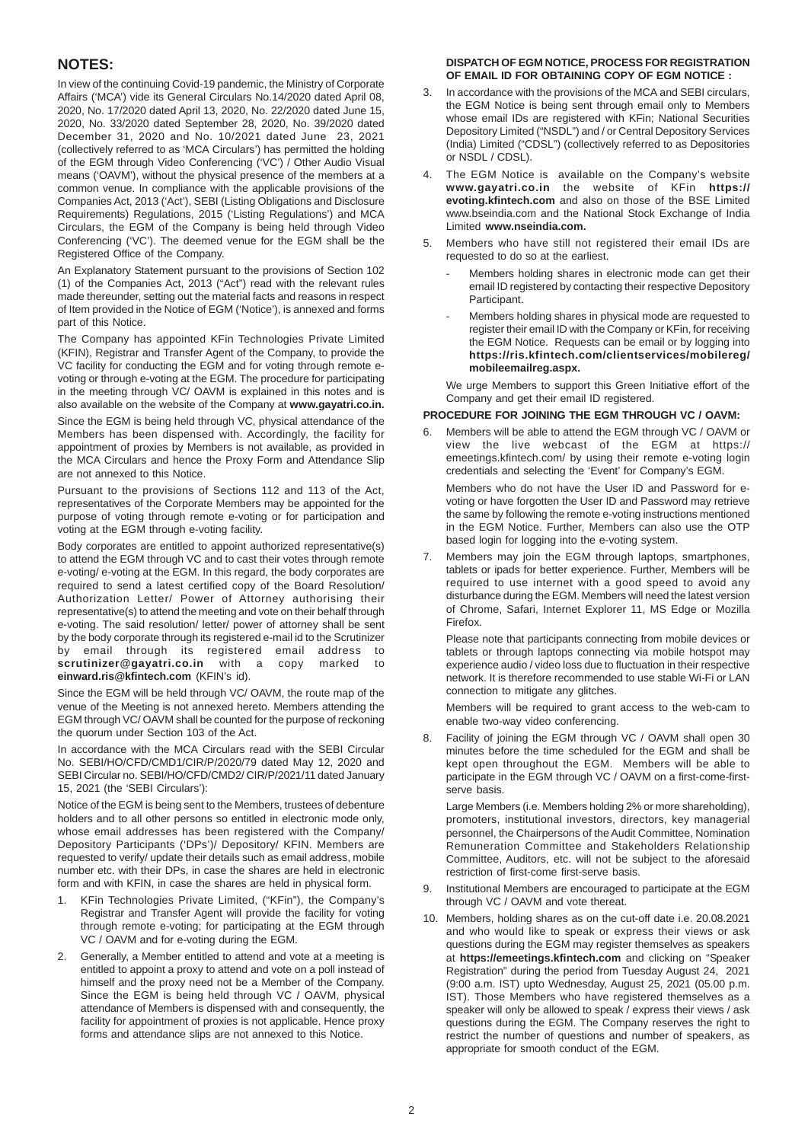## **NOTES:**

In view of the continuing Covid-19 pandemic, the Ministry of Corporate Affairs ('MCA') vide its General Circulars No.14/2020 dated April 08, 2020, No. 17/2020 dated April 13, 2020, No. 22/2020 dated June 15, 2020, No. 33/2020 dated September 28, 2020, No. 39/2020 dated December 31, 2020 and No. 10/2021 dated June 23, 2021 (collectively referred to as 'MCA Circulars') has permitted the holding of the EGM through Video Conferencing ('VC') / Other Audio Visual means ('OAVM'), without the physical presence of the members at a common venue. In compliance with the applicable provisions of the Companies Act, 2013 ('Act'), SEBI (Listing Obligations and Disclosure Requirements) Regulations, 2015 ('Listing Regulations') and MCA Circulars, the EGM of the Company is being held through Video Conferencing ('VC'). The deemed venue for the EGM shall be the Registered Office of the Company.

An Explanatory Statement pursuant to the provisions of Section 102 (1) of the Companies Act, 2013 ("Act") read with the relevant rules made thereunder, setting out the material facts and reasons in respect of Item provided in the Notice of EGM ('Notice'), is annexed and forms part of this Notice.

The Company has appointed KFin Technologies Private Limited (KFIN), Registrar and Transfer Agent of the Company, to provide the VC facility for conducting the EGM and for voting through remote evoting or through e-voting at the EGM. The procedure for participating in the meeting through VC/ OAVM is explained in this notes and is also available on the website of the Company at **www.gayatri.co.in.**

Since the EGM is being held through VC, physical attendance of the Members has been dispensed with. Accordingly, the facility for appointment of proxies by Members is not available, as provided in the MCA Circulars and hence the Proxy Form and Attendance Slip are not annexed to this Notice.

Pursuant to the provisions of Sections 112 and 113 of the Act, representatives of the Corporate Members may be appointed for the purpose of voting through remote e-voting or for participation and voting at the EGM through e-voting facility.

Body corporates are entitled to appoint authorized representative(s) to attend the EGM through VC and to cast their votes through remote e-voting/ e-voting at the EGM. In this regard, the body corporates are required to send a latest certified copy of the Board Resolution/ Authorization Letter/ Power of Attorney authorising their representative(s) to attend the meeting and vote on their behalf through e-voting. The said resolution/ letter/ power of attorney shall be sent by the body corporate through its registered e-mail id to the Scrutinizer by email through its registered email address to **scrutinizer@gayatri.co.in** with a copy marked to **einward.ris@kfintech.com** (KFIN's id).

Since the EGM will be held through VC/ OAVM, the route map of the venue of the Meeting is not annexed hereto. Members attending the EGM through VC/ OAVM shall be counted for the purpose of reckoning the quorum under Section 103 of the Act.

In accordance with the MCA Circulars read with the SEBI Circular No. SEBI/HO/CFD/CMD1/CIR/P/2020/79 dated May 12, 2020 and SEBI Circular no. SEBI/HO/CFD/CMD2/ CIR/P/2021/11 dated January 15, 2021 (the 'SEBI Circulars'):

Notice of the EGM is being sent to the Members, trustees of debenture holders and to all other persons so entitled in electronic mode only, whose email addresses has been registered with the Company/ Depository Participants ('DPs')/ Depository/ KFIN. Members are requested to verify/ update their details such as email address, mobile number etc. with their DPs, in case the shares are held in electronic form and with KFIN, in case the shares are held in physical form.

- 1. KFin Technologies Private Limited, ("KFin"), the Company's Registrar and Transfer Agent will provide the facility for voting through remote e-voting; for participating at the EGM through VC / OAVM and for e-voting during the EGM.
- 2. Generally, a Member entitled to attend and vote at a meeting is entitled to appoint a proxy to attend and vote on a poll instead of himself and the proxy need not be a Member of the Company. Since the EGM is being held through VC / OAVM, physical attendance of Members is dispensed with and consequently, the facility for appointment of proxies is not applicable. Hence proxy forms and attendance slips are not annexed to this Notice.

#### **DISPATCH OF EGM NOTICE, PROCESS FOR REGISTRATION OF EMAIL ID FOR OBTAINING COPY OF EGM NOTICE :**

- 3. In accordance with the provisions of the MCA and SEBI circulars, the EGM Notice is being sent through email only to Members whose email IDs are registered with KFin: National Securities Depository Limited ("NSDL") and / or Central Depository Services (India) Limited ("CDSL") (collectively referred to as Depositories or NSDL / CDSL).
- 4. The EGM Notice is available on the Company's website **www.gayatri.co.in** the website of KFin **https:// evoting.kfintech.com** and also on those of the BSE Limited www.bseindia.com and the National Stock Exchange of India Limited **www.nseindia.com.**
- 5. Members who have still not registered their email IDs are requested to do so at the earliest.
	- Members holding shares in electronic mode can get their email ID registered by contacting their respective Depository Participant.
	- Members holding shares in physical mode are requested to register their email ID with the Company or KFin, for receiving the EGM Notice. Requests can be email or by logging into **https://ris.kfintech.com/clientservices/mobilereg/ mobileemailreg.aspx.**

We urge Members to support this Green Initiative effort of the Company and get their email ID registered.

## **PROCEDURE FOR JOINING THE EGM THROUGH VC / OAVM:**

Members will be able to attend the EGM through VC / OAVM or view the live webcast of the EGM at https:// emeetings.kfintech.com/ by using their remote e-voting login credentials and selecting the 'Event' for Company's EGM.

Members who do not have the User ID and Password for evoting or have forgotten the User ID and Password may retrieve the same by following the remote e-voting instructions mentioned in the EGM Notice. Further, Members can also use the OTP based login for logging into the e-voting system.

7. Members may join the EGM through laptops, smartphones, tablets or ipads for better experience. Further, Members will be required to use internet with a good speed to avoid any disturbance during the EGM. Members will need the latest version of Chrome, Safari, Internet Explorer 11, MS Edge or Mozilla Firefox.

Please note that participants connecting from mobile devices or tablets or through laptops connecting via mobile hotspot may experience audio / video loss due to fluctuation in their respective network. It is therefore recommended to use stable Wi-Fi or LAN connection to mitigate any glitches.

Members will be required to grant access to the web-cam to enable two-way video conferencing.

Facility of joining the EGM through VC / OAVM shall open 30 minutes before the time scheduled for the EGM and shall be kept open throughout the EGM. Members will be able to participate in the EGM through VC / OAVM on a first-come-firstserve basis.

Large Members (i.e. Members holding 2% or more shareholding), promoters, institutional investors, directors, key managerial personnel, the Chairpersons of the Audit Committee, Nomination Remuneration Committee and Stakeholders Relationship Committee, Auditors, etc. will not be subject to the aforesaid restriction of first-come first-serve basis.

- 9. Institutional Members are encouraged to participate at the EGM through VC / OAVM and vote thereat.
- 10. Members, holding shares as on the cut-off date i.e. 20.08.2021 and who would like to speak or express their views or ask questions during the EGM may register themselves as speakers at **https://emeetings.kfintech.com** and clicking on "Speaker Registration" during the period from Tuesday August 24, 2021 (9:00 a.m. IST) upto Wednesday, August 25, 2021 (05.00 p.m. IST). Those Members who have registered themselves as a speaker will only be allowed to speak / express their views / ask questions during the EGM. The Company reserves the right to restrict the number of questions and number of speakers, as appropriate for smooth conduct of the EGM.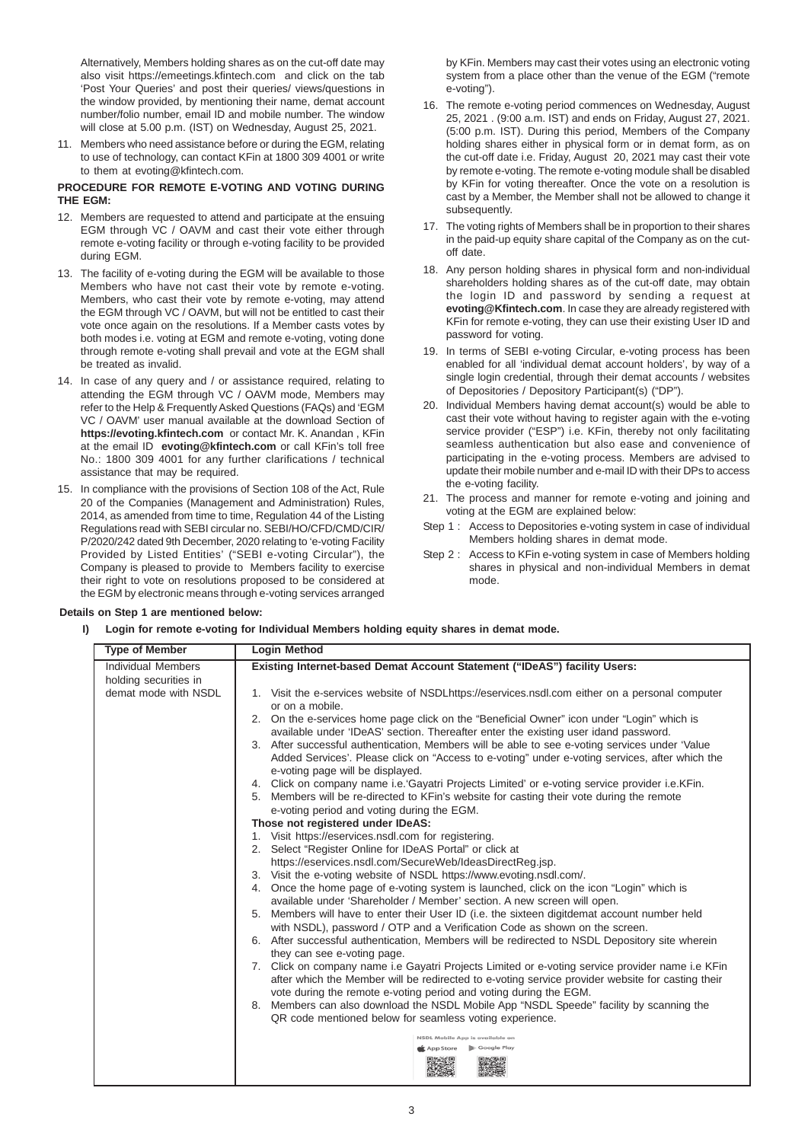Alternatively, Members holding shares as on the cut-off date may also visit https://emeetings.kfintech.com and click on the tab 'Post Your Queries' and post their queries/ views/questions in the window provided, by mentioning their name, demat account number/folio number, email ID and mobile number. The window will close at 5.00 p.m. (IST) on Wednesday, August 25, 2021.

11. Members who need assistance before or during the EGM, relating to use of technology, can contact KFin at 1800 309 4001 or write to them at evoting@kfintech.com.

## **PROCEDURE FOR REMOTE E-VOTING AND VOTING DURING THE EGM:**

- 12. Members are requested to attend and participate at the ensuing EGM through VC / OAVM and cast their vote either through remote e-voting facility or through e-voting facility to be provided during EGM.
- 13. The facility of e-voting during the EGM will be available to those Members who have not cast their vote by remote e-voting. Members, who cast their vote by remote e-voting, may attend the EGM through VC / OAVM, but will not be entitled to cast their vote once again on the resolutions. If a Member casts votes by both modes i.e. voting at EGM and remote e-voting, voting done through remote e-voting shall prevail and vote at the EGM shall be treated as invalid.
- 14. In case of any query and / or assistance required, relating to attending the EGM through VC / OAVM mode, Members may refer to the Help & Frequently Asked Questions (FAQs) and 'EGM VC / OAVM' user manual available at the download Section of **https://evoting.kfintech.com** or contact Mr. K. Anandan , KFin at the email ID **evoting@kfintech.com** or call KFin's toll free No.: 1800 309 4001 for any further clarifications / technical assistance that may be required.
- 15. In compliance with the provisions of Section 108 of the Act, Rule 20 of the Companies (Management and Administration) Rules, 2014, as amended from time to time, Regulation 44 of the Listing Regulations read with SEBI circular no. SEBI/HO/CFD/CMD/CIR/ P/2020/242 dated 9th December, 2020 relating to 'e-voting Facility Provided by Listed Entities' ("SEBI e-voting Circular"), the Company is pleased to provide to Members facility to exercise their right to vote on resolutions proposed to be considered at the EGM by electronic means through e-voting services arranged

#### by KFin. Members may cast their votes using an electronic voting system from a place other than the venue of the EGM ("remote e-voting").

- 16. The remote e-voting period commences on Wednesday, August 25, 2021 . (9:00 a.m. IST) and ends on Friday, August 27, 2021. (5:00 p.m. IST). During this period, Members of the Company holding shares either in physical form or in demat form, as on the cut-off date i.e. Friday, August 20, 2021 may cast their vote by remote e-voting. The remote e-voting module shall be disabled by KFin for voting thereafter. Once the vote on a resolution is cast by a Member, the Member shall not be allowed to change it subsequently.
- 17. The voting rights of Members shall be in proportion to their shares in the paid-up equity share capital of the Company as on the cutoff date.
- 18. Any person holding shares in physical form and non-individual shareholders holding shares as of the cut-off date, may obtain the login ID and password by sending a request at **evoting@Kfintech.com**. In case they are already registered with KFin for remote e-voting, they can use their existing User ID and password for voting.
- 19. In terms of SEBI e-voting Circular, e-voting process has been enabled for all 'individual demat account holders', by way of a single login credential, through their demat accounts / websites of Depositories / Depository Participant(s) ("DP").
- 20. Individual Members having demat account(s) would be able to cast their vote without having to register again with the e-voting service provider ("ESP") i.e. KFin, thereby not only facilitating seamless authentication but also ease and convenience of participating in the e-voting process. Members are advised to update their mobile number and e-mail ID with their DPs to access the e-voting facility.
- 21. The process and manner for remote e-voting and joining and voting at the EGM are explained below:
- Step 1 : Access to Depositories e-voting system in case of individual Members holding shares in demat mode.
- Step 2 : Access to KFin e-voting system in case of Members holding shares in physical and non-individual Members in demat mode.

## **Details on Step 1 are mentioned below:**

**I) Login for remote e-voting for Individual Members holding equity shares in demat mode.**

| <b>Type of Member</b>                                                                                                         | <b>Login Method</b>                                                                                                                                                                                                                                                       |  |  |  |  |  |
|-------------------------------------------------------------------------------------------------------------------------------|---------------------------------------------------------------------------------------------------------------------------------------------------------------------------------------------------------------------------------------------------------------------------|--|--|--|--|--|
| <b>Individual Members</b><br>holding securities in                                                                            | Existing Internet-based Demat Account Statement ("IDeAS") facility Users:                                                                                                                                                                                                 |  |  |  |  |  |
| demat mode with NSDL                                                                                                          | 1. Visit the e-services website of NSDLhttps://eservices.nsdl.com either on a personal computer<br>or on a mobile.                                                                                                                                                        |  |  |  |  |  |
|                                                                                                                               | 2. On the e-services home page click on the "Beneficial Owner" icon under "Login" which is<br>available under 'IDeAS' section. Thereafter enter the existing user idand password.                                                                                         |  |  |  |  |  |
|                                                                                                                               | 3. After successful authentication, Members will be able to see e-voting services under 'Value<br>Added Services'. Please click on "Access to e-voting" under e-voting services, after which the<br>e-voting page will be displayed.                                      |  |  |  |  |  |
|                                                                                                                               | 4. Click on company name i.e. Gayatri Projects Limited' or e-voting service provider i.e. KFin.<br>5. Members will be re-directed to KFin's website for casting their vote during the remote                                                                              |  |  |  |  |  |
| e-voting period and voting during the EGM.<br>Those not registered under IDeAS:                                               |                                                                                                                                                                                                                                                                           |  |  |  |  |  |
|                                                                                                                               | 1. Visit https://eservices.nsdl.com for registering.                                                                                                                                                                                                                      |  |  |  |  |  |
|                                                                                                                               | 2. Select "Register Online for IDeAS Portal" or click at                                                                                                                                                                                                                  |  |  |  |  |  |
|                                                                                                                               | https://eservices.nsdl.com/SecureWeb/IdeasDirectReg.jsp.                                                                                                                                                                                                                  |  |  |  |  |  |
|                                                                                                                               | 3. Visit the e-voting website of NSDL https://www.evoting.nsdl.com/.<br>4. Once the home page of e-voting system is launched, click on the icon "Login" which is<br>available under 'Shareholder / Member' section. A new screen will open.                               |  |  |  |  |  |
|                                                                                                                               |                                                                                                                                                                                                                                                                           |  |  |  |  |  |
|                                                                                                                               | 5. Members will have to enter their User ID (i.e. the sixteen digitdemat account number held<br>with NSDL), password / OTP and a Verification Code as shown on the screen.                                                                                                |  |  |  |  |  |
| 6. After successful authentication, Members will be redirected to NSDL Depository site wherein<br>they can see e-voting page. |                                                                                                                                                                                                                                                                           |  |  |  |  |  |
|                                                                                                                               | 7. Click on company name i.e Gayatri Projects Limited or e-voting service provider name i.e KFin<br>after which the Member will be redirected to e-voting service provider website for casting their<br>vote during the remote e-voting period and voting during the EGM. |  |  |  |  |  |
|                                                                                                                               | 8. Members can also download the NSDL Mobile App "NSDL Speede" facility by scanning the<br>QR code mentioned below for seamless voting experience.                                                                                                                        |  |  |  |  |  |
|                                                                                                                               | NSDL Mobile App is available on<br>Google Play<br>App Store                                                                                                                                                                                                               |  |  |  |  |  |
|                                                                                                                               |                                                                                                                                                                                                                                                                           |  |  |  |  |  |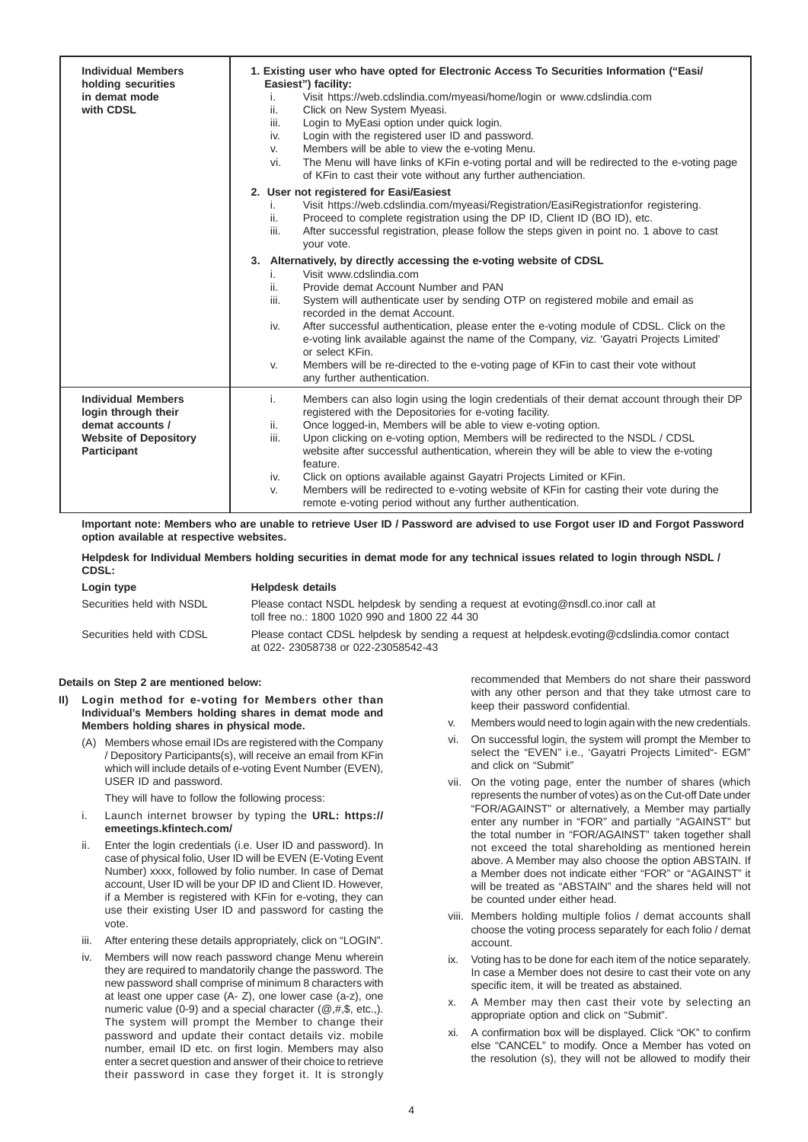| <b>Individual Members</b><br>holding securities<br>in demat mode<br>with CDSL                                              | 1. Existing user who have opted for Electronic Access To Securities Information ("Easi/<br>Easiest") facility:<br>Visit https://web.cdslindia.com/myeasi/home/login or www.cdslindia.com<br>i.<br>ii.<br>Click on New System Myeasi.<br>Login to MyEasi option under quick login.<br>iii.<br>Login with the registered user ID and password.<br>iv.<br>Members will be able to view the e-voting Menu.<br>V.<br>The Menu will have links of KFin e-voting portal and will be redirected to the e-voting page<br>vi.<br>of KFin to cast their vote without any further authenciation.                                                                                                 |
|----------------------------------------------------------------------------------------------------------------------------|--------------------------------------------------------------------------------------------------------------------------------------------------------------------------------------------------------------------------------------------------------------------------------------------------------------------------------------------------------------------------------------------------------------------------------------------------------------------------------------------------------------------------------------------------------------------------------------------------------------------------------------------------------------------------------------|
|                                                                                                                            | 2. User not registered for Easi/Easiest<br>Visit https://web.cdslindia.com/myeasi/Registration/EasiRegistrationfor registering.<br>i.<br>Proceed to complete registration using the DP ID, Client ID (BO ID), etc.<br>ii.<br>After successful registration, please follow the steps given in point no. 1 above to cast<br>iii.<br>your vote.                                                                                                                                                                                                                                                                                                                                         |
|                                                                                                                            | 3. Alternatively, by directly accessing the e-voting website of CDSL<br>Visit www.cdslindia.com<br>i.<br>ii.<br>Provide demat Account Number and PAN<br>iii.<br>System will authenticate user by sending OTP on registered mobile and email as<br>recorded in the demat Account.<br>After successful authentication, please enter the e-voting module of CDSL. Click on the<br>iv.<br>e-voting link available against the name of the Company, viz. 'Gayatri Projects Limited'<br>or select KFin.<br>Members will be re-directed to the e-voting page of KFin to cast their vote without<br>V.<br>any further authentication.                                                        |
| <b>Individual Members</b><br>login through their<br>demat accounts /<br><b>Website of Depository</b><br><b>Participant</b> | Members can also login using the login credentials of their demat account through their DP<br>i.<br>registered with the Depositories for e-voting facility.<br>Once logged-in, Members will be able to view e-voting option.<br>ii.<br>Upon clicking on e-voting option, Members will be redirected to the NSDL / CDSL<br>iii.<br>website after successful authentication, wherein they will be able to view the e-voting<br>feature.<br>Click on options available against Gayatri Projects Limited or KFin.<br>iv.<br>Members will be redirected to e-voting website of KFin for casting their vote during the<br>V.<br>remote e-voting period without any further authentication. |

**Important note: Members who are unable to retrieve User ID / Password are advised to use Forgot user ID and Forgot Password option available at respective websites.**

**Helpdesk for Individual Members holding securities in demat mode for any technical issues related to login through NSDL / CDSL:**

| Login type                | <b>Helpdesk details</b>                                                                                                             |
|---------------------------|-------------------------------------------------------------------------------------------------------------------------------------|
| Securities held with NSDL | Please contact NSDL helpdesk by sending a request at evoting@nsdl.co.inor call at<br>toll free no.: 1800 1020 990 and 1800 22 44 30 |
| Securities held with CDSL | Please contact CDSL helpdesk by sending a request at helpdesk evoting@cdslindia.comor contact<br>at 022-23058738 or 022-23058542-43 |

#### **Details on Step 2 are mentioned below:**

- **II) Login method for e-voting for Members other than Individual's Members holding shares in demat mode and Members holding shares in physical mode.**
	- (A) Members whose email IDs are registered with the Company / Depository Participants(s), will receive an email from KFin which will include details of e-voting Event Number (EVEN), USER ID and password.

They will have to follow the following process:

- i. Launch internet browser by typing the **URL: https:// emeetings.kfintech.com/**
- ii. Enter the login credentials (i.e. User ID and password). In case of physical folio, User ID will be EVEN (E-Voting Event Number) xxxx, followed by folio number. In case of Demat account, User ID will be your DP ID and Client ID. However, if a Member is registered with KFin for e-voting, they can use their existing User ID and password for casting the vote.
- iii. After entering these details appropriately, click on "LOGIN".
- iv. Members will now reach password change Menu wherein they are required to mandatorily change the password. The new password shall comprise of minimum 8 characters with at least one upper case (A- Z), one lower case (a-z), one numeric value (0-9) and a special character (@,#,\$, etc.,). The system will prompt the Member to change their password and update their contact details viz. mobile number, email ID etc. on first login. Members may also enter a secret question and answer of their choice to retrieve their password in case they forget it. It is strongly

recommended that Members do not share their password with any other person and that they take utmost care to keep their password confidential.

- v. Members would need to login again with the new credentials.
- vi. On successful login, the system will prompt the Member to select the "EVEN" i.e., 'Gayatri Projects Limited"- EGM" and click on "Submit"
- vii. On the voting page, enter the number of shares (which represents the number of votes) as on the Cut-off Date under "FOR/AGAINST" or alternatively, a Member may partially enter any number in "FOR" and partially "AGAINST" but the total number in "FOR/AGAINST" taken together shall not exceed the total shareholding as mentioned herein above. A Member may also choose the option ABSTAIN. If a Member does not indicate either "FOR" or "AGAINST" it will be treated as "ABSTAIN" and the shares held will not be counted under either head.
- viii. Members holding multiple folios / demat accounts shall choose the voting process separately for each folio / demat account.
- ix. Voting has to be done for each item of the notice separately. In case a Member does not desire to cast their vote on any specific item, it will be treated as abstained.
- x. A Member may then cast their vote by selecting an appropriate option and click on "Submit".
- xi. A confirmation box will be displayed. Click "OK" to confirm else "CANCEL" to modify. Once a Member has voted on the resolution (s), they will not be allowed to modify their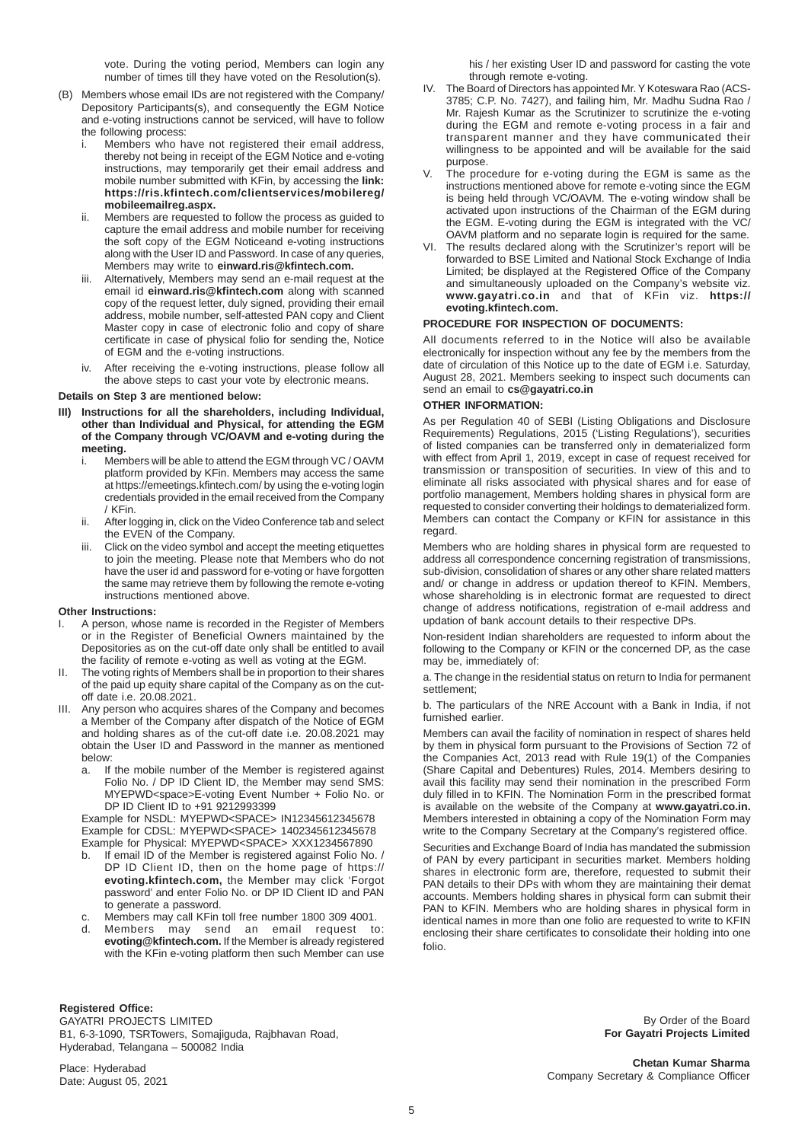vote. During the voting period, Members can login any number of times till they have voted on the Resolution(s).

- (B) Members whose email IDs are not registered with the Company/ Depository Participants(s), and consequently the EGM Notice and e-voting instructions cannot be serviced, will have to follow the following process:
	- Members who have not registered their email address, thereby not being in receipt of the EGM Notice and e-voting instructions, may temporarily get their email address and mobile number submitted with KFin, by accessing the **link: https://ris.kfintech.com/clientservices/mobilereg/ mobileemailreg.aspx.**
	- ii. Members are requested to follow the process as guided to capture the email address and mobile number for receiving the soft copy of the EGM Noticeand e-voting instructions along with the User ID and Password. In case of any queries, Members may write to **einward.ris@kfintech.com.**
	- iii. Alternatively, Members may send an e-mail request at the email id **einward.ris@kfintech.com** along with scanned copy of the request letter, duly signed, providing their email address, mobile number, self-attested PAN copy and Client Master copy in case of electronic folio and copy of share certificate in case of physical folio for sending the, Notice of EGM and the e-voting instructions.
	- iv. After receiving the e-voting instructions, please follow all the above steps to cast your vote by electronic means.

#### **Details on Step 3 are mentioned below:**

- **III) Instructions for all the shareholders, including Individual, other than Individual and Physical, for attending the EGM of the Company through VC/OAVM and e-voting during the meeting.**
	- i. Members will be able to attend the EGM through VC / OAVM platform provided by KFin. Members may access the same at https://emeetings.kfintech.com/ by using the e-voting login credentials provided in the email received from the Company / KFin.
	- ii. After logging in, click on the Video Conference tab and select the EVEN of the Company.
	- iii. Click on the video symbol and accept the meeting etiquettes to join the meeting. Please note that Members who do not have the user id and password for e-voting or have forgotten the same may retrieve them by following the remote e-voting instructions mentioned above.

#### **Other Instructions:**

- A person, whose name is recorded in the Register of Members or in the Register of Beneficial Owners maintained by the Depositories as on the cut-off date only shall be entitled to avail the facility of remote e-voting as well as voting at the EGM.
- II. The voting rights of Members shall be in proportion to their shares of the paid up equity share capital of the Company as on the cutoff date i.e. 20.08.2021.
- III. Any person who acquires shares of the Company and becomes a Member of the Company after dispatch of the Notice of EGM and holding shares as of the cut-off date i.e. 20.08.2021 may obtain the User ID and Password in the manner as mentioned below:
	- a. If the mobile number of the Member is registered against Folio No. / DP ID Client ID, the Member may send SMS: MYEPWD<space>E-voting Event Number + Folio No. or DP ID Client ID to +91 9212993399

Example for NSDL: MYEPWD<SPACE> IN12345612345678 Example for CDSL: MYEPWD<SPACE> 1402345612345678 Example for Physical: MYEPWD<SPACE> XXX1234567890

- b. If email ID of the Member is registered against Folio No. / DP ID Client ID, then on the home page of https:// **evoting.kfintech.com,** the Member may click 'Forgot password' and enter Folio No. or DP ID Client ID and PAN to generate a password.
- Members may call KFin toll free number 1800 309 4001.
- Members may send an email request to: **evoting@kfintech.com.** If the Member is already registered with the KFin e-voting platform then such Member can use

**Registered Office:** GAYATRI PROJECTS LIMITED B1, 6-3-1090, TSRTowers, Somajiguda, Rajbhavan Road, Hyderabad, Telangana – 500082 India

Place: Hyderabad Date: August 05, 2021 his / her existing User ID and password for casting the vote through remote e-voting.

- IV. The Board of Directors has appointed Mr. Y Koteswara Rao (ACS-3785; C.P. No. 7427), and failing him, Mr. Madhu Sudna Rao / Mr. Rajesh Kumar as the Scrutinizer to scrutinize the e-voting during the EGM and remote e-voting process in a fair and transparent manner and they have communicated their willingness to be appointed and will be available for the said purpose.
- V. The procedure for e-voting during the EGM is same as the instructions mentioned above for remote e-voting since the EGM is being held through VC/OAVM. The e-voting window shall be activated upon instructions of the Chairman of the EGM during the EGM. E-voting during the EGM is integrated with the VC/ OAVM platform and no separate login is required for the same.
- VI. The results declared along with the Scrutinizer's report will be forwarded to BSE Limited and National Stock Exchange of India Limited; be displayed at the Registered Office of the Company and simultaneously uploaded on the Company's website viz. **www.gayatri.co.in** and that of KFin viz. **https:// evoting.kfintech.com.**

#### **PROCEDURE FOR INSPECTION OF DOCUMENTS:**

All documents referred to in the Notice will also be available electronically for inspection without any fee by the members from the date of circulation of this Notice up to the date of EGM i.e. Saturday, August 28, 2021. Members seeking to inspect such documents can send an email to **cs@gayatri.co.in**

#### **OTHER INFORMATION:**

As per Regulation 40 of SEBI (Listing Obligations and Disclosure Requirements) Regulations, 2015 ('Listing Regulations'), securities of listed companies can be transferred only in dematerialized form with effect from April 1, 2019, except in case of request received for transmission or transposition of securities. In view of this and to eliminate all risks associated with physical shares and for ease of portfolio management, Members holding shares in physical form are requested to consider converting their holdings to dematerialized form. Members can contact the Company or KFIN for assistance in this regard.

Members who are holding shares in physical form are requested to address all correspondence concerning registration of transmissions, sub-division, consolidation of shares or any other share related matters and/ or change in address or updation thereof to KFIN. Members, whose shareholding is in electronic format are requested to direct change of address notifications, registration of e-mail address and updation of bank account details to their respective DPs.

Non-resident Indian shareholders are requested to inform about the following to the Company or KFIN or the concerned DP, as the case may be, immediately of:

a. The change in the residential status on return to India for permanent settlement;

b. The particulars of the NRE Account with a Bank in India, if not furnished earlier.

Members can avail the facility of nomination in respect of shares held by them in physical form pursuant to the Provisions of Section 72 of the Companies Act, 2013 read with Rule 19(1) of the Companies (Share Capital and Debentures) Rules, 2014. Members desiring to avail this facility may send their nomination in the prescribed Form duly filled in to KFIN. The Nomination Form in the prescribed format is available on the website of the Company at **www.gayatri.co.in.** Members interested in obtaining a copy of the Nomination Form may write to the Company Secretary at the Company's registered office.

Securities and Exchange Board of India has mandated the submission of PAN by every participant in securities market. Members holding shares in electronic form are, therefore, requested to submit their PAN details to their DPs with whom they are maintaining their demat accounts. Members holding shares in physical form can submit their PAN to KFIN. Members who are holding shares in physical form in identical names in more than one folio are requested to write to KFIN enclosing their share certificates to consolidate their holding into one folio.

> By Order of the Board **For Gayatri Projects Limited**

**Chetan Kumar Sharma** Company Secretary & Compliance Officer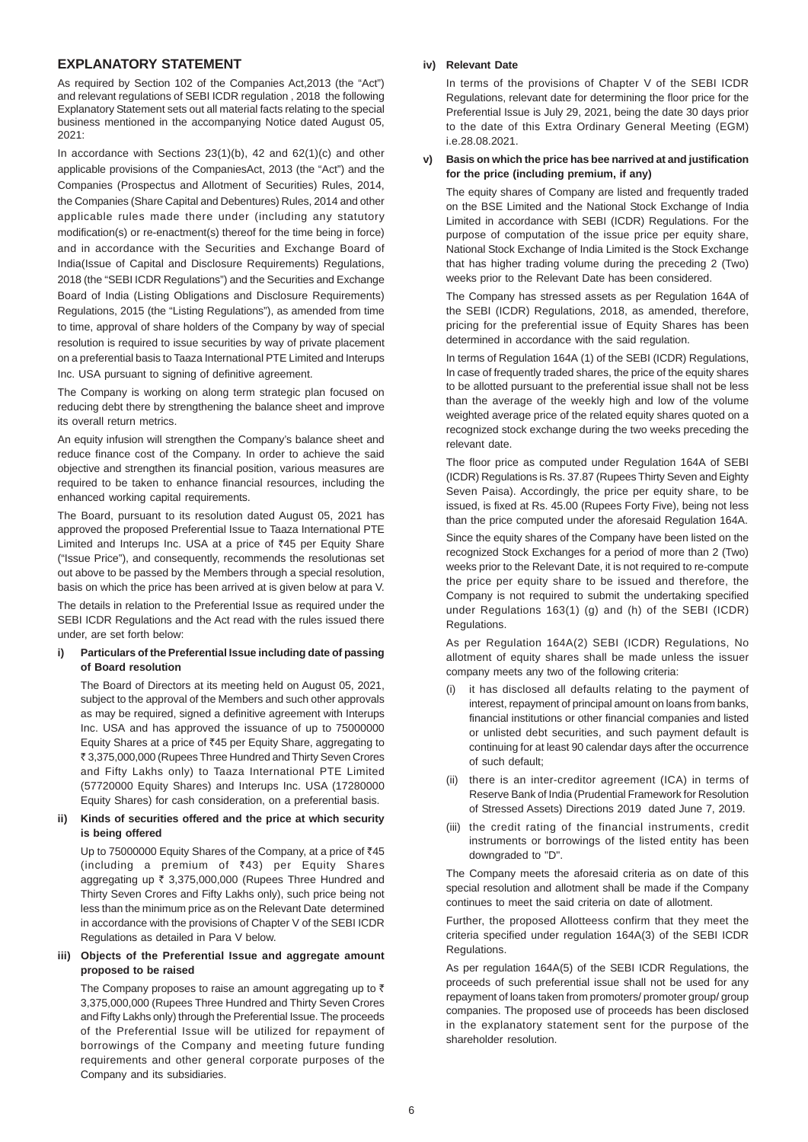## **EXPLANATORY STATEMENT**

As required by Section 102 of the Companies Act,2013 (the "Act") and relevant regulations of SEBI ICDR regulation , 2018 the following Explanatory Statement sets out all material facts relating to the special business mentioned in the accompanying Notice dated August 05, 2021:

In accordance with Sections 23(1)(b), 42 and 62(1)(c) and other applicable provisions of the CompaniesAct, 2013 (the "Act") and the Companies (Prospectus and Allotment of Securities) Rules, 2014, the Companies (Share Capital and Debentures) Rules, 2014 and other applicable rules made there under (including any statutory modification(s) or re-enactment(s) thereof for the time being in force) and in accordance with the Securities and Exchange Board of India(Issue of Capital and Disclosure Requirements) Regulations, 2018 (the "SEBI ICDR Regulations") and the Securities and Exchange Board of India (Listing Obligations and Disclosure Requirements) Regulations, 2015 (the "Listing Regulations"), as amended from time to time, approval of share holders of the Company by way of special resolution is required to issue securities by way of private placement on a preferential basis to Taaza International PTE Limited and Interups Inc. USA pursuant to signing of definitive agreement.

The Company is working on along term strategic plan focused on reducing debt there by strengthening the balance sheet and improve its overall return metrics.

An equity infusion will strengthen the Company's balance sheet and reduce finance cost of the Company. In order to achieve the said objective and strengthen its financial position, various measures are required to be taken to enhance financial resources, including the enhanced working capital requirements.

The Board, pursuant to its resolution dated August 05, 2021 has approved the proposed Preferential Issue to Taaza International PTE Limited and Interups Inc. USA at a price of  $\overline{6}45$  per Equity Share ("Issue Price"), and consequently, recommends the resolutionas set out above to be passed by the Members through a special resolution, basis on which the price has been arrived at is given below at para V.

The details in relation to the Preferential Issue as required under the SEBI ICDR Regulations and the Act read with the rules issued there under, are set forth below:

#### **i) Particulars of the Preferential Issue including date of passing of Board resolution**

The Board of Directors at its meeting held on August 05, 2021, subject to the approval of the Members and such other approvals as may be required, signed a definitive agreement with Interups Inc. USA and has approved the issuance of up to 75000000 Equity Shares at a price of  $\bar{z}$ 45 per Equity Share, aggregating to ₹ 3,375,000,000 (Rupees Three Hundred and Thirty Seven Crores and Fifty Lakhs only) to Taaza International PTE Limited (57720000 Equity Shares) and Interups Inc. USA (17280000 Equity Shares) for cash consideration, on a preferential basis.

## **ii) Kinds of securities offered and the price at which security is being offered**

Up to 75000000 Equity Shares of the Company, at a price of ₹45 (including a premium of  $\bar{z}$ 43) per Equity Shares aggregating up  $\bar{\tau}$  3,375,000,000 (Rupees Three Hundred and Thirty Seven Crores and Fifty Lakhs only), such price being not less than the minimum price as on the Relevant Date determined in accordance with the provisions of Chapter V of the SEBI ICDR Regulations as detailed in Para V below.

## **iii) Objects of the Preferential Issue and aggregate amount proposed to be raised**

The Company proposes to raise an amount aggregating up to  $\bar{z}$ 3,375,000,000 (Rupees Three Hundred and Thirty Seven Crores and Fifty Lakhs only) through the Preferential Issue. The proceeds of the Preferential Issue will be utilized for repayment of borrowings of the Company and meeting future funding requirements and other general corporate purposes of the Company and its subsidiaries.

#### **iv) Relevant Date**

In terms of the provisions of Chapter V of the SEBI ICDR Regulations, relevant date for determining the floor price for the Preferential Issue is July 29, 2021, being the date 30 days prior to the date of this Extra Ordinary General Meeting (EGM) i.e.28.08.2021.

## **v) Basis on which the price has bee narrived at and justification for the price (including premium, if any)**

The equity shares of Company are listed and frequently traded on the BSE Limited and the National Stock Exchange of India Limited in accordance with SEBI (ICDR) Regulations. For the purpose of computation of the issue price per equity share, National Stock Exchange of India Limited is the Stock Exchange that has higher trading volume during the preceding 2 (Two) weeks prior to the Relevant Date has been considered.

The Company has stressed assets as per Regulation 164A of the SEBI (ICDR) Regulations, 2018, as amended, therefore, pricing for the preferential issue of Equity Shares has been determined in accordance with the said regulation.

In terms of Regulation 164A (1) of the SEBI (ICDR) Regulations, In case of frequently traded shares, the price of the equity shares to be allotted pursuant to the preferential issue shall not be less than the average of the weekly high and low of the volume weighted average price of the related equity shares quoted on a recognized stock exchange during the two weeks preceding the relevant date.

The floor price as computed under Regulation 164A of SEBI (ICDR) Regulations is Rs. 37.87 (Rupees Thirty Seven and Eighty Seven Paisa). Accordingly, the price per equity share, to be issued, is fixed at Rs. 45.00 (Rupees Forty Five), being not less than the price computed under the aforesaid Regulation 164A.

Since the equity shares of the Company have been listed on the recognized Stock Exchanges for a period of more than 2 (Two) weeks prior to the Relevant Date, it is not required to re-compute the price per equity share to be issued and therefore, the Company is not required to submit the undertaking specified under Regulations 163(1) (g) and (h) of the SEBI (ICDR) Regulations.

As per Regulation 164A(2) SEBI (ICDR) Regulations, No allotment of equity shares shall be made unless the issuer company meets any two of the following criteria:

- (i) it has disclosed all defaults relating to the payment of interest, repayment of principal amount on loans from banks, financial institutions or other financial companies and listed or unlisted debt securities, and such payment default is continuing for at least 90 calendar days after the occurrence of such default;
- (ii) there is an inter-creditor agreement (ICA) in terms of Reserve Bank of India (Prudential Framework for Resolution of Stressed Assets) Directions 2019 dated June 7, 2019.
- (iii) the credit rating of the financial instruments, credit instruments or borrowings of the listed entity has been downgraded to "D".

The Company meets the aforesaid criteria as on date of this special resolution and allotment shall be made if the Company continues to meet the said criteria on date of allotment.

Further, the proposed Allotteess confirm that they meet the criteria specified under regulation 164A(3) of the SEBI ICDR Regulations.

As per regulation 164A(5) of the SEBI ICDR Regulations, the proceeds of such preferential issue shall not be used for any repayment of loans taken from promoters/ promoter group/ group companies. The proposed use of proceeds has been disclosed in the explanatory statement sent for the purpose of the shareholder resolution.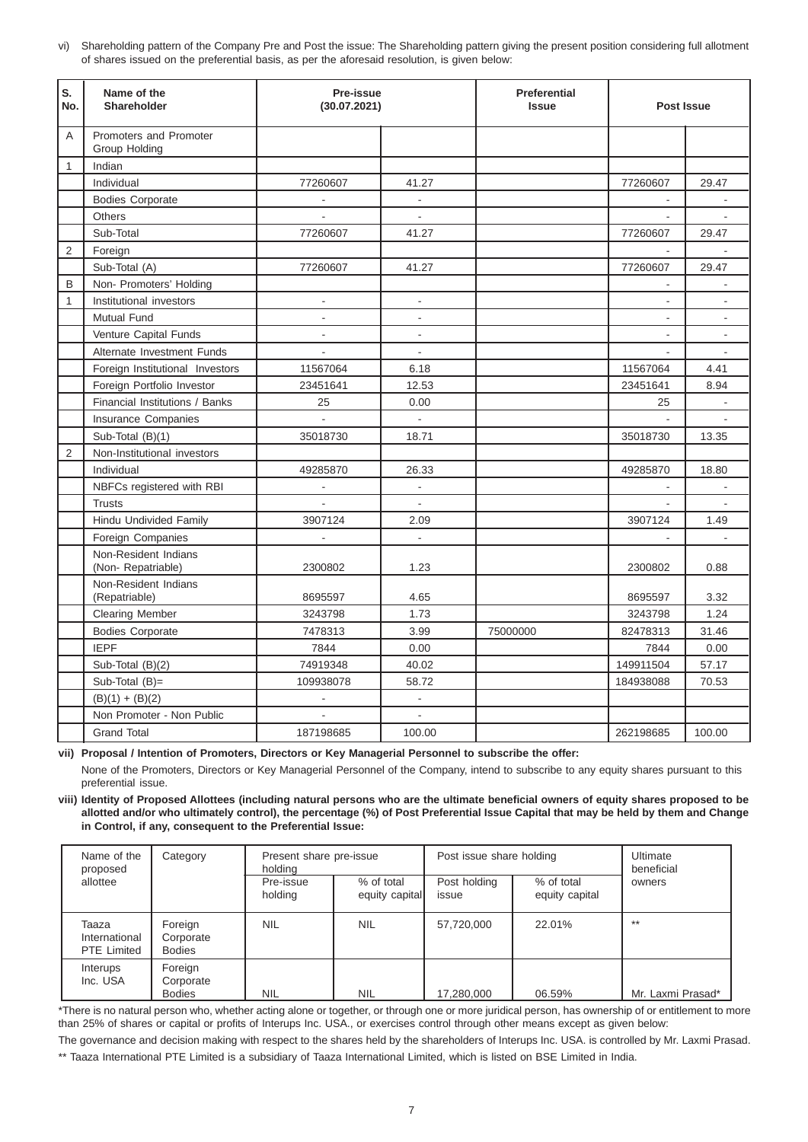vi) Shareholding pattern of the Company Pre and Post the issue: The Shareholding pattern giving the present position considering full allotment of shares issued on the preferential basis, as per the aforesaid resolution, is given below:

| S.<br>No.      | Name of the<br><b>Shareholder</b>         | Pre-issue<br>(30.07.2021)   |                           | <b>Preferential</b><br><b>Issue</b> | Post Issue    |               |
|----------------|-------------------------------------------|-----------------------------|---------------------------|-------------------------------------|---------------|---------------|
| Α              | Promoters and Promoter<br>Group Holding   |                             |                           |                                     |               |               |
| $\mathbf{1}$   | Indian                                    |                             |                           |                                     |               |               |
|                | Individual                                | 77260607                    | 41.27                     |                                     | 77260607      | 29.47         |
|                | <b>Bodies Corporate</b>                   | ä,                          | $\omega$                  |                                     |               | $\mathbf{r}$  |
|                | <b>Others</b>                             | $\mathbf{r}$                | $\omega$                  |                                     | $\mathcal{L}$ | $\sim$        |
|                | Sub-Total                                 | 77260607                    | 41.27                     |                                     | 77260607      | 29.47         |
| $\overline{2}$ | Foreign                                   |                             |                           |                                     |               |               |
|                | Sub-Total (A)                             | 77260607                    | 41.27                     |                                     | 77260607      | 29.47         |
| B              | Non- Promoters' Holding                   |                             |                           |                                     |               |               |
| $\mathbf{1}$   | Institutional investors                   | $\omega$                    | $\Box$                    |                                     | $\omega$      | $\sim$        |
|                | Mutual Fund                               |                             | $\blacksquare$            |                                     | ÷.            |               |
|                | Venture Capital Funds                     |                             | $\overline{a}$            |                                     |               |               |
|                | Alternate Investment Funds                | $\blacksquare$              | ä,                        |                                     |               |               |
|                | Foreign Institutional Investors           | 11567064                    | 6.18                      |                                     | 11567064      | 4.41          |
|                | Foreign Portfolio Investor                | 23451641                    | 12.53                     |                                     | 23451641      | 8.94          |
|                | Financial Institutions / Banks            | 25                          | 0.00                      |                                     | 25            |               |
|                | Insurance Companies                       |                             | $\Box$                    |                                     |               |               |
|                | Sub-Total (B)(1)                          | 35018730                    | 18.71                     |                                     | 35018730      | 13.35         |
| $\overline{2}$ | Non-Institutional investors               |                             |                           |                                     |               |               |
|                | Individual                                | 49285870                    | 26.33                     |                                     | 49285870      | 18.80         |
|                | NBFCs registered with RBI                 | $\equiv$                    | $\omega$                  |                                     |               |               |
|                | Trusts                                    |                             | $\omega$                  |                                     |               |               |
|                | Hindu Undivided Family                    | 3907124                     | 2.09                      |                                     | 3907124       | 1.49          |
|                | Foreign Companies                         | $\mathcal{L}^{\mathcal{A}}$ | $\mathbb{Z}^{\mathbb{Z}}$ |                                     | $\sim$        | $\mathcal{L}$ |
|                | Non-Resident Indians<br>(Non-Repatriable) | 2300802                     | 1.23                      |                                     | 2300802       | 0.88          |
|                | Non-Resident Indians<br>(Repatriable)     | 8695597                     | 4.65                      |                                     | 8695597       | 3.32          |
|                | <b>Clearing Member</b>                    | 3243798                     | 1.73                      |                                     | 3243798       | 1.24          |
|                | <b>Bodies Corporate</b>                   | 7478313                     | 3.99                      | 75000000                            | 82478313      | 31.46         |
|                | <b>IEPF</b>                               | 7844                        | 0.00                      |                                     | 7844          | 0.00          |
|                | Sub-Total (B)(2)                          | 74919348                    | 40.02                     |                                     | 149911504     | 57.17         |
|                | Sub-Total $(B)=$                          | 109938078                   | 58.72                     |                                     | 184938088     | 70.53         |
|                | $(B)(1) + (B)(2)$                         | $\omega$                    | ÷,                        |                                     |               |               |
|                | Non Promoter - Non Public                 | $\omega$                    | $\Box$                    |                                     |               |               |
|                | <b>Grand Total</b>                        | 187198685                   | 100.00                    |                                     | 262198685     | 100.00        |

**vii) Proposal / Intention of Promoters, Directors or Key Managerial Personnel to subscribe the offer:**

None of the Promoters, Directors or Key Managerial Personnel of the Company, intend to subscribe to any equity shares pursuant to this preferential issue.

**viii) Identity of Proposed Allottees (including natural persons who are the ultimate beneficial owners of equity shares proposed to be allotted and/or who ultimately control), the percentage (%) of Post Preferential Issue Capital that may be held by them and Change in Control, if any, consequent to the Preferential Issue:**

| Name of the<br>proposed                      | Category                              | Present share pre-issue<br>holding |                              | Post issue share holding |                              | Ultimate<br>beneficial |
|----------------------------------------------|---------------------------------------|------------------------------------|------------------------------|--------------------------|------------------------------|------------------------|
| allottee                                     |                                       | Pre-issue<br>holding               | % of total<br>equity capital | Post holding<br>issue    | % of total<br>equity capital | owners                 |
| Taaza<br>International<br><b>PTE Limited</b> | Foreign<br>Corporate<br><b>Bodies</b> | <b>NIL</b>                         | <b>NIL</b>                   | 57,720,000               | 22.01%                       | $***$                  |
| Interups<br>Inc. USA                         | Foreign<br>Corporate<br><b>Bodies</b> | NIL.                               | <b>NIL</b>                   | 17,280,000               | 06.59%                       | Mr. Laxmi Prasad*      |

\*There is no natural person who, whether acting alone or together, or through one or more juridical person, has ownership of or entitlement to more than 25% of shares or capital or profits of Interups Inc. USA., or exercises control through other means except as given below:

The governance and decision making with respect to the shares held by the shareholders of Interups Inc. USA. is controlled by Mr. Laxmi Prasad. \*\* Taaza International PTE Limited is a subsidiary of Taaza International Limited, which is listed on BSE Limited in India.